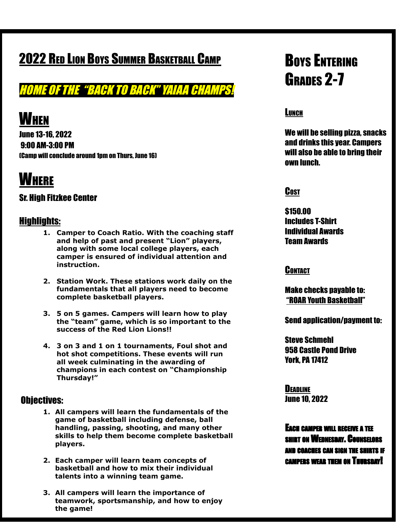### **2022 RED LION BOYS SUMMER BASKETBALL CAMP**

HOME OF THE "BACK TO BACK" YAIAA CHAMPS!

# **WHEN**

June 13-16, 2022 9:00 AM-3:00 PM (Camp will conclude around 1pm on Thurs, June 16)

# **WHERE**

### Sr. High Fitzkee Center

### Highlights:

- **1. Camper to Coach Ratio. With the coaching staff and help of past and present "Lion" players, along with some local college players, each camper is ensured of individual attention and instruction.**
- **2. Station Work. These stations work daily on the fundamentals that all players need to become complete basketball players.**
- **3. 5 on 5 games. Campers will learn how to play the "team" game, which is so important to the success of the Red Lion Lions!!**
- **4. 3 on 3 and 1 on 1 tournaments, Foul shot and hot shot competitions. These events will run all week culminating in the awarding of champions in each contest on "Championship Thursday!"**

#### Objectives:

- **1. All campers will learn the fundamentals of the game of basketball including defense, ball handling, passing, shooting, and many other skills to help them become complete basketball players.**
- **2. Each camper will learn team concepts of basketball and how to mix their individual talents into a winning team game.**
- **3. All campers will learn the importance of teamwork, sportsmanship, and how to enjoy the game!**

# **BOYS ENTERING** GRADES 2-7

### **LUNCH**

We will be selling pizza, snacks and drinks this year. Campers will also be able to bring their own lunch.

#### **Cost**

\$150.00 Includes T-Shirt Individual Awards Team Awards

#### **CONTACT**

Make checks payable to: "ROAR Youth Basketball"

Send application/payment to:

Steve Schmehl 958 Castle Pond Drive York, PA 17412

**DEADLINE** June 10, 2022

EACH CAMPER WILL RECEIVE A TEE SHIRT ON WEDNESDAY. COUNSELORS AND COACHES CAN SIGN THE SHIRTS IF CAMPERS WEAR THEM ON THURSDAY!